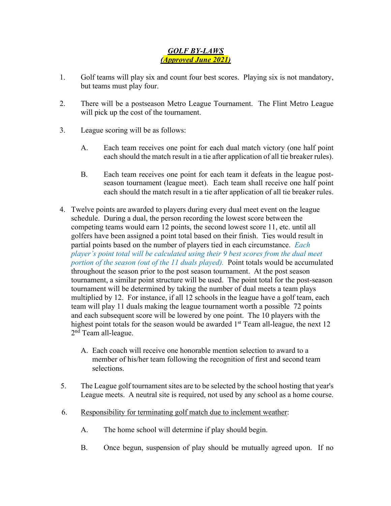## *GOLF BY-LAWS (Approved June 2021)*

- 1. Golf teams will play six and count four best scores. Playing six is not mandatory, but teams must play four.
- 2. There will be a postseason Metro League Tournament. The Flint Metro League will pick up the cost of the tournament.
- 3. League scoring will be as follows:
	- A. Each team receives one point for each dual match victory (one half point each should the match result in a tie after application of all tie breaker rules).
	- B. Each team receives one point for each team it defeats in the league postseason tournament (league meet). Each team shall receive one half point each should the match result in a tie after application of all tie breaker rules.
- 4. Twelve points are awarded to players during every dual meet event on the league schedule. During a dual, the person recording the lowest score between the competing teams would earn 12 points, the second lowest score 11, etc. until all golfers have been assigned a point total based on their finish. Ties would result in partial points based on the number of players tied in each circumstance. *Each player's point total will be calculated using their 9 best scores from the dual meet portion of the season (out of the 11 duals played).* Point totals would be accumulated throughout the season prior to the post season tournament. At the post season tournament, a similar point structure will be used. The point total for the post-season tournament will be determined by taking the number of dual meets a team plays multiplied by 12. For instance, if all 12 schools in the league have a golf team, each team will play 11 duals making the league tournament worth a possible 72 points and each subsequent score will be lowered by one point. The 10 players with the highest point totals for the season would be awarded  $1<sup>st</sup>$  Team all-league, the next 12 2<sup>nd</sup> Team all-league.
	- A. Each coach will receive one honorable mention selection to award to a member of his/her team following the recognition of first and second team selections.
- 5. The League golf tournament sites are to be selected by the school hosting that year's League meets. A neutral site is required, not used by any school as a home course.
- 6. Responsibility for terminating golf match due to inclement weather:
	- A. The home school will determine if play should begin.
	- B. Once begun, suspension of play should be mutually agreed upon. If no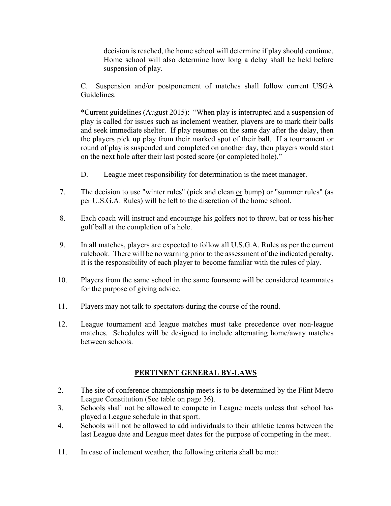decision is reached, the home school will determine if play should continue. Home school will also determine how long a delay shall be held before suspension of play.

C. Suspension and/or postponement of matches shall follow current USGA Guidelines.

\*Current guidelines (August 2015): "When play is interrupted and a suspension of play is called for issues such as inclement weather, players are to mark their balls and seek immediate shelter. If play resumes on the same day after the delay, then the players pick up play from their marked spot of their ball. If a tournament or round of play is suspended and completed on another day, then players would start on the next hole after their last posted score (or completed hole)."

- D. League meet responsibility for determination is the meet manager.
- 7. The decision to use "winter rules" (pick and clean or bump) or "summer rules" (as per U.S.G.A. Rules) will be left to the discretion of the home school.
- 8. Each coach will instruct and encourage his golfers not to throw, bat or toss his/her golf ball at the completion of a hole.
- 9. In all matches, players are expected to follow all U.S.G.A. Rules as per the current rulebook. There will be no warning prior to the assessment of the indicated penalty. It is the responsibility of each player to become familiar with the rules of play.
- 10. Players from the same school in the same foursome will be considered teammates for the purpose of giving advice.
- 11. Players may not talk to spectators during the course of the round.
- 12. League tournament and league matches must take precedence over non-league matches. Schedules will be designed to include alternating home/away matches between schools.

## **PERTINENT GENERAL BY-LAWS**

- 2. The site of conference championship meets is to be determined by the Flint Metro League Constitution (See table on page 36).
- 3. Schools shall not be allowed to compete in League meets unless that school has played a League schedule in that sport.
- 4. Schools will not be allowed to add individuals to their athletic teams between the last League date and League meet dates for the purpose of competing in the meet.
- 11. In case of inclement weather, the following criteria shall be met: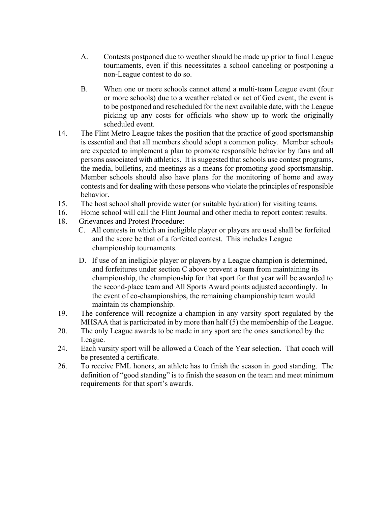- A. Contests postponed due to weather should be made up prior to final League tournaments, even if this necessitates a school canceling or postponing a non-League contest to do so.
- B. When one or more schools cannot attend a multi-team League event (four or more schools) due to a weather related or act of God event, the event is to be postponed and rescheduled for the next available date, with the League picking up any costs for officials who show up to work the originally scheduled event.
- 14. The Flint Metro League takes the position that the practice of good sportsmanship is essential and that all members should adopt a common policy. Member schools are expected to implement a plan to promote responsible behavior by fans and all persons associated with athletics. It is suggested that schools use contest programs, the media, bulletins, and meetings as a means for promoting good sportsmanship. Member schools should also have plans for the monitoring of home and away contests and for dealing with those persons who violate the principles of responsible behavior.
- 15. The host school shall provide water (or suitable hydration) for visiting teams.
- 16. Home school will call the Flint Journal and other media to report contest results.
- 18. Grievances and Protest Procedure:
	- C. All contests in which an ineligible player or players are used shall be forfeited and the score be that of a forfeited contest. This includes League championship tournaments.
	- D. If use of an ineligible player or players by a League champion is determined, and forfeitures under section C above prevent a team from maintaining its championship, the championship for that sport for that year will be awarded to the second-place team and All Sports Award points adjusted accordingly. In the event of co-championships, the remaining championship team would maintain its championship.
- 19. The conference will recognize a champion in any varsity sport regulated by the MHSAA that is participated in by more than half (5) the membership of the League.
- 20. The only League awards to be made in any sport are the ones sanctioned by the League.
- 24. Each varsity sport will be allowed a Coach of the Year selection. That coach will be presented a certificate.
- 26. To receive FML honors, an athlete has to finish the season in good standing. The definition of "good standing" is to finish the season on the team and meet minimum requirements for that sport's awards.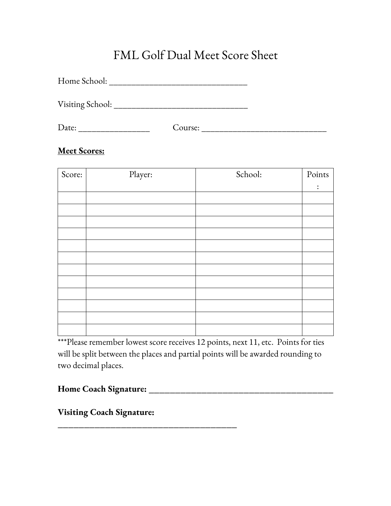## FML Golf Dual Meet Score Sheet

Home School: \_\_\_\_\_\_\_\_\_\_\_\_\_\_\_\_\_\_\_\_\_\_\_\_\_\_\_\_\_\_\_

Visiting School: \_\_\_\_\_\_\_\_\_\_\_\_\_\_\_\_\_\_\_\_\_\_\_\_\_\_\_\_\_\_

Date: \_\_\_\_\_\_\_\_\_\_\_\_\_\_\_\_ Course: \_\_\_\_\_\_\_\_\_\_\_\_\_\_\_\_\_\_\_\_\_\_\_\_\_\_\_\_

## **Meet Scores:**

| Score: | Player: | School: | Points         |
|--------|---------|---------|----------------|
|        |         |         | $\ddot{\cdot}$ |
|        |         |         |                |
|        |         |         |                |
|        |         |         |                |
|        |         |         |                |
|        |         |         |                |
|        |         |         |                |
|        |         |         |                |
|        |         |         |                |
|        |         |         |                |
|        |         |         |                |
|        |         |         |                |
|        |         |         |                |

\*\*\*Please remember lowest score receives 12 points, next 11, etc. Points for ties will be split between the places and partial points will be awarded rounding to two decimal places.

**Home Coach Signature: \_\_\_\_\_\_\_\_\_\_\_\_\_\_\_\_\_\_\_\_\_\_\_\_\_\_\_\_\_\_\_\_\_\_\_**

**Visiting Coach Signature:** 

**\_\_\_\_\_\_\_\_\_\_\_\_\_\_\_\_\_\_\_\_\_\_\_\_\_\_\_\_\_\_\_\_\_\_**